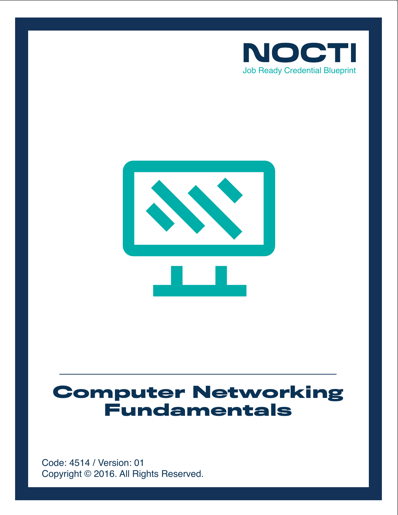



# **Computer Networking Fundamentals**

Copyright © 2016. All Rights Reserved. Code: 4514 / Version: 01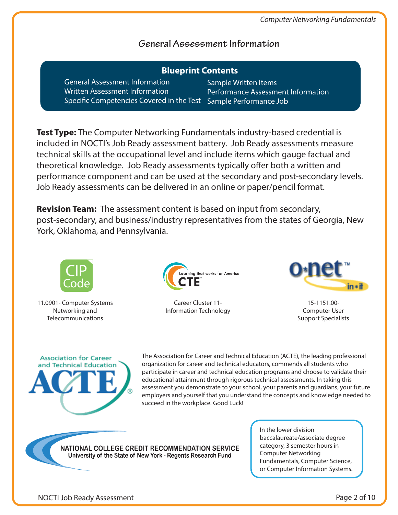$\sim$  formation

# **General Assessment Information**

| <b>Blueprint Contents</b>                 |                                   |
|-------------------------------------------|-----------------------------------|
| <b>General Assessment Information</b>     | Sample Written Items              |
| <b>Written Assessment Information</b>     | <b>Performance Assessment Int</b> |
| Specific Competencies Covered in the Test | Sample Performance Job            |

**Test Type:** The Computer Networking Fundamentals industry-based credential is included in NOCTI's Job Ready assessment battery. Job Ready assessments measure technical skills at the occupational level and include items which gauge factual and theoretical knowledge. Job Ready assessments typically offer both a written and performance component and can be used at the secondary and post-secondary levels. Job Ready assessments can be delivered in an online or paper/pencil format.

**Revision Team:** The assessment content is based on input from secondary, post-secondary, and business/industry representatives from the states of Georgia, New York, Oklahoma, and Pennsylvania.



11.0901- Computer Systems Networking and Telecommunications



Career Cluster 11- Information Technology



15-1151.00- Computer User Support Specialists



The Association for Career and Technical Education (ACTE), the leading professional organization for career and technical educators, commends all students who participate in career and technical education programs and choose to validate their educational attainment through rigorous technical assessments. In taking this assessment you demonstrate to your school, your parents and guardians, your future employers and yourself that you understand the concepts and knowledge needed to succeed in the workplace. Good Luck!

NATIONAL COLLEGE CREDIT RECOMMENDATION SERVICE University of the State of New York - Regents Research Fund

In the lower division baccalaureate/associate degree category, 3 semester hours in Computer Networking Fundamentals, Computer Science, or Computer Information Systems.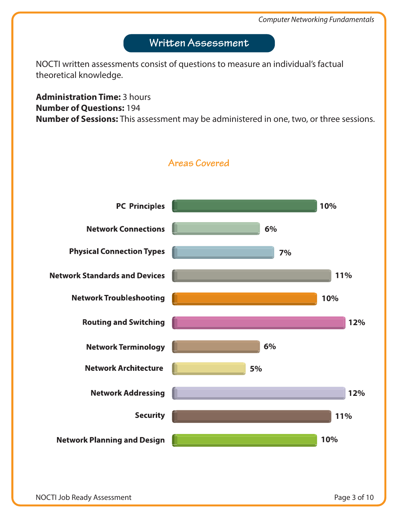# **Written Assessment**

NOCTI written assessments consist of questions to measure an individual's factual theoretical knowledge.

**Administration Time:** 3 hours **Number of Questions:** 194 **Number of Sessions:** This assessment may be administered in one, two, or three sessions.

**Areas Covered**

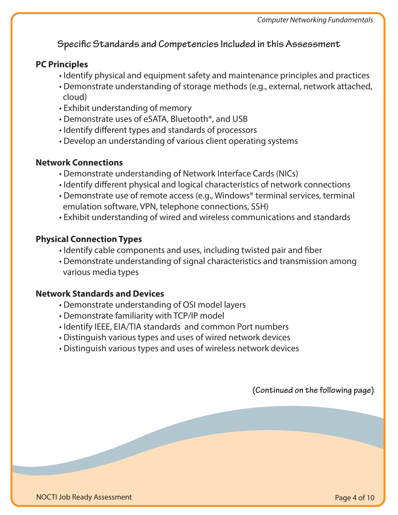# **Specific Standards and Competencies Included in this Assessment**

#### **PC Principles**

- Identify physical and equipment safety and maintenance principles and practices
- Demonstrate understanding of storage methods (e.g., external, network attached, cloud)
- Exhibit understanding of memory
- Demonstrate uses of eSATA, Bluetooth®, and USB
- Identify different types and standards of processors
- Develop an understanding of various client operating systems

#### **Network Connections**

- Demonstrate understanding of Network Interface Cards (NICs)
- Identify different physical and logical characteristics of network connections
- Demonstrate use of remote access (e.g., Windows® terminal services, terminal emulation software, VPN, telephone connections, SSH)
- Exhibit understanding of wired and wireless communications and standards

#### **Physical Connection Types**

- Identify cable components and uses, including twisted pair and fiber
- Demonstrate understanding of signal characteristics and transmission among various media types

#### **Network Standards and Devices**

- Demonstrate understanding of OSI model layers
- Demonstrate familiarity with TCP/IP model
- Identify IEEE, EIA/TIA standards and common Port numbers
- Distinguish various types and uses of wired network devices
- Distinguish various types and uses of wireless network devices

**(Continued on the following page)**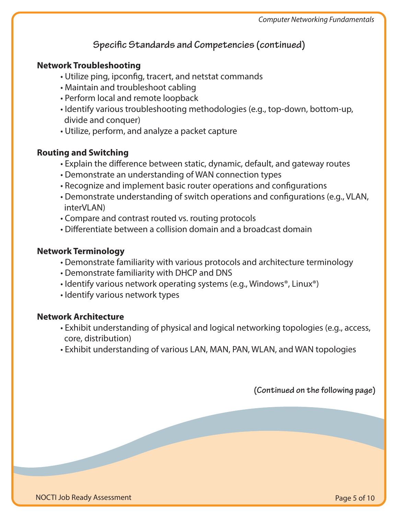# **Specific Standards and Competencies (continued)**

#### **Network Troubleshooting**

- Utilize ping, ipconfig, tracert, and netstat commands
- Maintain and troubleshoot cabling
- Perform local and remote loopback
- Identify various troubleshooting methodologies (e.g., top-down, bottom-up, divide and conquer)
- Utilize, perform, and analyze a packet capture

#### **Routing and Switching**

- Explain the difference between static, dynamic, default, and gateway routes
- Demonstrate an understanding of WAN connection types
- Recognize and implement basic router operations and configurations
- Demonstrate understanding of switch operations and configurations (e.g., VLAN, interVLAN)
- Compare and contrast routed vs. routing protocols
- Differentiate between a collision domain and a broadcast domain

#### **Network Terminology**

- Demonstrate familiarity with various protocols and architecture terminology
- Demonstrate familiarity with DHCP and DNS
- Identify various network operating systems (e.g., Windows®, Linux®)
- Identify various network types

#### **Network Architecture**

- Exhibit understanding of physical and logical networking topologies (e.g., access, core, distribution)
- Exhibit understanding of various LAN, MAN, PAN, WLAN, and WAN topologies

**(Continued on the following page)**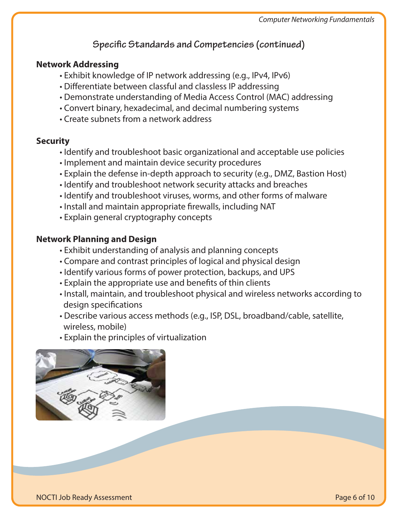# **Specific Standards and Competencies (continued)**

#### **Network Addressing**

- Exhibit knowledge of IP network addressing (e.g., IPv4, IPv6)
- Differentiate between classful and classless IP addressing
- Demonstrate understanding of Media Access Control (MAC) addressing
- Convert binary, hexadecimal, and decimal numbering systems
- Create subnets from a network address

## **Security**

- Identify and troubleshoot basic organizational and acceptable use policies
- Implement and maintain device security procedures
- Explain the defense in-depth approach to security (e.g., DMZ, Bastion Host)
- Identify and troubleshoot network security attacks and breaches
- Identify and troubleshoot viruses, worms, and other forms of malware
- Install and maintain appropriate firewalls, including NAT
- Explain general cryptography concepts

# **Network Planning and Design**

- Exhibit understanding of analysis and planning concepts
- Compare and contrast principles of logical and physical design
- Identify various forms of power protection, backups, and UPS
- Explain the appropriate use and benefits of thin clients
- Install, maintain, and troubleshoot physical and wireless networks according to design specifications
- Describe various access methods (e.g., ISP, DSL, broadband/cable, satellite, wireless, mobile)
- Explain the principles of virtualization

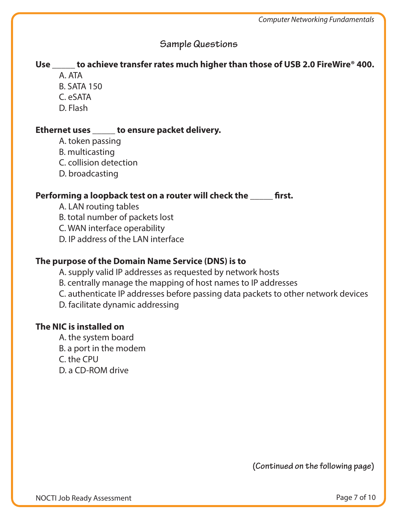## **Sample Questions**

# **Use \_\_\_\_\_ to achieve transfer rates much higher than those of USB 2.0 FireWire® 400.**

- A. ATA
- B. SATA 150
- C. eSATA
- D. Flash

#### **Ethernet uses \_\_\_\_\_ to ensure packet delivery.**

- A. token passing
- B. multicasting
- C. collision detection
- D. broadcasting

#### Performing a loopback test on a router will check the **wave filted**

- A. LAN routing tables
- B. total number of packets lost
- C. WAN interface operability
- D. IP address of the LAN interface

#### **The purpose of the Domain Name Service (DNS) is to**

- A. supply valid IP addresses as requested by network hosts
- B. centrally manage the mapping of host names to IP addresses
- C. authenticate IP addresses before passing data packets to other network devices
- D. facilitate dynamic addressing

#### **The NIC is installed on**

 A. the system board B. a port in the modem C. the CPU D. a CD-ROM drive

**(Continued on the following page)**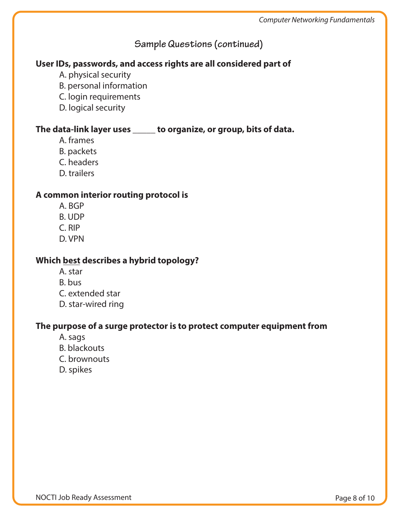# **Sample Questions (continued)**

## **User IDs, passwords, and access rights are all considered part of**

- A. physical security
- B. personal information
- C. login requirements
- D. logical security

#### **The data-link layer uses \_\_\_\_\_ to organize, or group, bits of data.**

- A. frames
- B. packets
- C. headers
- D. trailers

#### **A common interior routing protocol is**

- A. BGP
- B. UDP
- C. RIP
- D. VPN

#### **Which best describes a hybrid topology?**

- A. star
- B. bus
- C. extended star
- D. star-wired ring

## **The purpose of a surge protector is to protect computer equipment from**

- A. sags
- B. blackouts
- C. brownouts
- D. spikes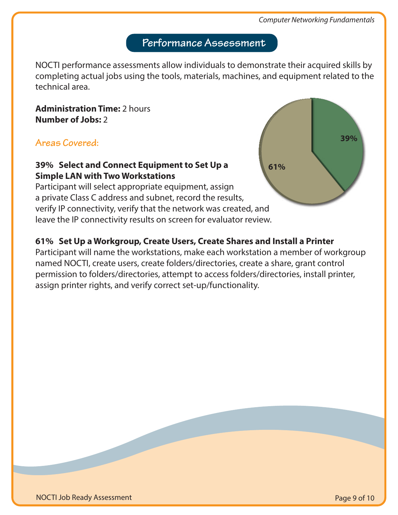**61%**

**39%**

# **Performance Assessment**

NOCTI performance assessments allow individuals to demonstrate their acquired skills by completing actual jobs using the tools, materials, machines, and equipment related to the technical area.

**Administration Time:** 2 hours **Number of Jobs:** 2

## **Areas Covered:**

## **39% Select and Connect Equipment to Set Up a Simple LAN with Two Workstations**

Participant will select appropriate equipment, assign a private Class C address and subnet, record the results, verify IP connectivity, verify that the network was created, and leave the IP connectivity results on screen for evaluator review.

## **61% Set Up a Workgroup, Create Users, Create Shares and Install a Printer**

Participant will name the workstations, make each workstation a member of workgroup named NOCTI, create users, create folders/directories, create a share, grant control permission to folders/directories, attempt to access folders/directories, install printer, assign printer rights, and verify correct set-up/functionality.